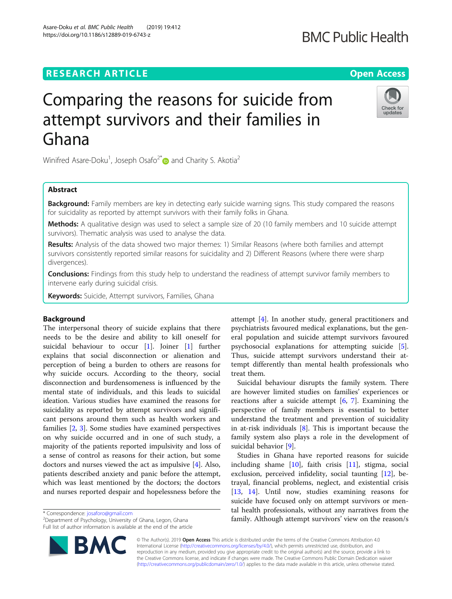# **RESEARCH ARTICLE Example 2014 12:30 The Contract of Contract ACCESS**

https://doi.org/10.1186/s12889-019-6743-z

# Comparing the reasons for suicide from attempt survivors and their families in Ghana

Winifred Asare-Doku<sup>1</sup>, Joseph Osafo<sup>2\*</sup> and Charity S. Akotia<sup>2</sup>

# Abstract

Background: Family members are key in detecting early suicide warning signs. This study compared the reasons for suicidality as reported by attempt survivors with their family folks in Ghana.

Methods: A qualitative design was used to select a sample size of 20 (10 family members and 10 suicide attempt survivors). Thematic analysis was used to analyse the data.

Results: Analysis of the data showed two major themes: 1) Similar Reasons (where both families and attempt survivors consistently reported similar reasons for suicidality and 2) Different Reasons (where there were sharp divergences).

Conclusions: Findings from this study help to understand the readiness of attempt survivor family members to intervene early during suicidal crisis.

Keywords: Suicide, Attempt survivors, Families, Ghana

#### Background

The interpersonal theory of suicide explains that there needs to be the desire and ability to kill oneself for suicidal behaviour to occur [\[1](#page-8-0)]. Joiner [\[1](#page-8-0)] further explains that social disconnection or alienation and perception of being a burden to others are reasons for why suicide occurs. According to the theory, social disconnection and burdensomeness is influenced by the mental state of individuals, and this leads to suicidal ideation. Various studies have examined the reasons for suicidality as reported by attempt survivors and significant persons around them such as health workers and families [[2](#page-8-0), [3\]](#page-8-0). Some studies have examined perspectives on why suicide occurred and in one of such study, a majority of the patients reported impulsivity and loss of a sense of control as reasons for their action, but some doctors and nurses viewed the act as impulsive [[4\]](#page-8-0). Also, patients described anxiety and panic before the attempt, which was least mentioned by the doctors; the doctors and nurses reported despair and hopelessness before the

\* Correspondence: [josaforo@gmail.com](mailto:josaforo@gmail.com) <sup>2</sup>

<sup>2</sup>Department of Psychology, University of Ghana, Legon, Ghana Full list of author information is available at the end of the article Thus, suicide attempt survivors understand their attempt differently than mental health professionals who treat them. Suicidal behaviour disrupts the family system. There are however limited studies on families' experiences or reactions after a suicide attempt  $[6, 7]$  $[6, 7]$  $[6, 7]$  $[6, 7]$ . Examining the perspective of family members is essential to better understand the treatment and prevention of suicidality

attempt [[4\]](#page-8-0). In another study, general practitioners and psychiatrists favoured medical explanations, but the general population and suicide attempt survivors favoured psychosocial explanations for attempting suicide [\[5](#page-8-0)].

in at-risk individuals  $[8]$  $[8]$ . This is important because the family system also plays a role in the development of suicidal behavior [[9](#page-8-0)].

Studies in Ghana have reported reasons for suicide including shame [\[10\]](#page-8-0), faith crisis [\[11](#page-8-0)], stigma, social exclusion, perceived infidelity, social taunting [[12](#page-8-0)], betrayal, financial problems, neglect, and existential crisis [[13,](#page-8-0) [14\]](#page-8-0). Until now, studies examining reasons for suicide have focused only on attempt survivors or mental health professionals, without any narratives from the family. Although attempt survivors' view on the reason/s

© The Author(s). 2019 **Open Access** This article is distributed under the terms of the Creative Commons Attribution 4.0 International License [\(http://creativecommons.org/licenses/by/4.0/](http://creativecommons.org/licenses/by/4.0/)), which permits unrestricted use, distribution, and reproduction in any medium, provided you give appropriate credit to the original author(s) and the source, provide a link to the Creative Commons license, and indicate if changes were made. The Creative Commons Public Domain Dedication waiver [\(http://creativecommons.org/publicdomain/zero/1.0/](http://creativecommons.org/publicdomain/zero/1.0/)) applies to the data made available in this article, unless otherwise stated.







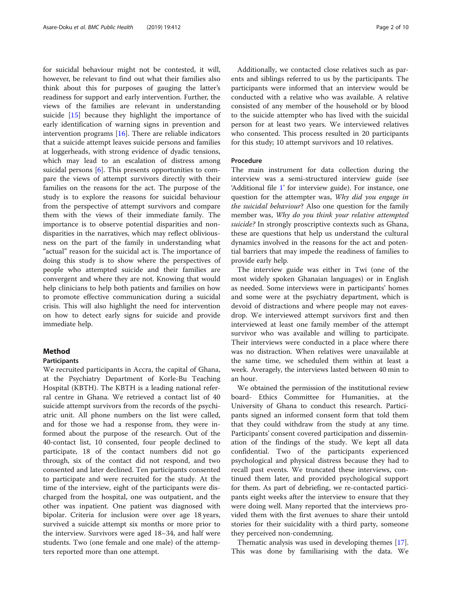for suicidal behaviour might not be contested, it will, however, be relevant to find out what their families also think about this for purposes of gauging the latter's readiness for support and early intervention. Further, the views of the families are relevant in understanding suicide [\[15](#page-8-0)] because they highlight the importance of early identification of warning signs in prevention and intervention programs [\[16](#page-8-0)]. There are reliable indicators that a suicide attempt leaves suicide persons and families at loggerheads, with strong evidence of dyadic tensions, which may lead to an escalation of distress among suicidal persons [\[6](#page-8-0)]. This presents opportunities to compare the views of attempt survivors directly with their families on the reasons for the act. The purpose of the study is to explore the reasons for suicidal behaviour from the perspective of attempt survivors and compare them with the views of their immediate family. The importance is to observe potential disparities and nondisparities in the narratives, which may reflect obliviousness on the part of the family in understanding what "actual" reason for the suicidal act is. The importance of doing this study is to show where the perspectives of people who attempted suicide and their families are convergent and where they are not. Knowing that would help clinicians to help both patients and families on how to promote effective communication during a suicidal crisis. This will also highlight the need for intervention on how to detect early signs for suicide and provide immediate help.

### Method

### Participants

We recruited participants in Accra, the capital of Ghana, at the Psychiatry Department of Korle-Bu Teaching Hospital (KBTH). The KBTH is a leading national referral centre in Ghana. We retrieved a contact list of 40 suicide attempt survivors from the records of the psychiatric unit. All phone numbers on the list were called, and for those we had a response from, they were informed about the purpose of the research. Out of the 40-contact list, 10 consented, four people declined to participate, 18 of the contact numbers did not go through, six of the contact did not respond, and two consented and later declined. Ten participants consented to participate and were recruited for the study. At the time of the interview, eight of the participants were discharged from the hospital, one was outpatient, and the other was inpatient. One patient was diagnosed with bipolar. Criteria for inclusion were over age 18 years, survived a suicide attempt six months or more prior to the interview. Survivors were aged 18–34, and half were students. Two (one female and one male) of the attempters reported more than one attempt.

Additionally, we contacted close relatives such as parents and siblings referred to us by the participants. The participants were informed that an interview would be conducted with a relative who was available. A relative consisted of any member of the household or by blood to the suicide attempter who has lived with the suicidal person for at least two years. We interviewed relatives who consented. This process resulted in 20 participants for this study; 10 attempt survivors and 10 relatives.

#### Procedure

The main instrument for data collection during the interview was a semi-structured interview guide (see 'Additional file [1](#page-8-0)' for interview guide). For instance, one question for the attempter was, Why did you engage in the suicidal behaviour? Also one question for the family member was, Why do you think your relative attempted suicide? In strongly proscriptive contexts such as Ghana, these are questions that help us understand the cultural dynamics involved in the reasons for the act and potential barriers that may impede the readiness of families to provide early help.

The interview guide was either in Twi (one of the most widely spoken Ghanaian languages) or in English as needed. Some interviews were in participants' homes and some were at the psychiatry department, which is devoid of distractions and where people may not eavesdrop. We interviewed attempt survivors first and then interviewed at least one family member of the attempt survivor who was available and willing to participate. Their interviews were conducted in a place where there was no distraction. When relatives were unavailable at the same time, we scheduled them within at least a week. Averagely, the interviews lasted between 40 min to an hour.

We obtained the permission of the institutional review board- Ethics Committee for Humanities, at the University of Ghana to conduct this research. Participants signed an informed consent form that told them that they could withdraw from the study at any time. Participants' consent covered participation and dissemination of the findings of the study. We kept all data confidential. Two of the participants experienced psychological and physical distress because they had to recall past events. We truncated these interviews, continued them later, and provided psychological support for them. As part of debriefing, we re-contacted participants eight weeks after the interview to ensure that they were doing well. Many reported that the interviews provided them with the first avenues to share their untold stories for their suicidality with a third party, someone they perceived non-condemning.

Thematic analysis was used in developing themes [\[17](#page-8-0)]. This was done by familiarising with the data. We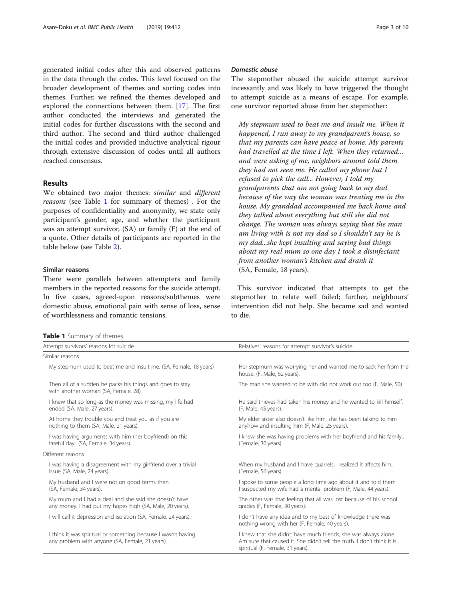generated initial codes after this and observed patterns in the data through the codes. This level focused on the broader development of themes and sorting codes into themes. Further, we refined the themes developed and explored the connections between them. [[17\]](#page-8-0). The first author conducted the interviews and generated the initial codes for further discussions with the second and third author. The second and third author challenged the initial codes and provided inductive analytical rigour through extensive discussion of codes until all authors reached consensus.

#### Results

We obtained two major themes: similar and different reasons (see Table 1 for summary of themes) . For the purposes of confidentiality and anonymity, we state only participant's gender, age, and whether the participant was an attempt survivor, (SA) or family (F) at the end of a quote. Other details of participants are reported in the table below (see Table [2](#page-3-0)).

#### Similar reasons

There were parallels between attempters and family members in the reported reasons for the suicide attempt. In five cases, agreed-upon reasons/subthemes were domestic abuse, emotional pain with sense of loss, sense of worthlessness and romantic tensions.

| Attempt survivors' reasons for suicide                                                                            | Relatives' reasons for attempt survivor's suicide                                                                                                                             |  |
|-------------------------------------------------------------------------------------------------------------------|-------------------------------------------------------------------------------------------------------------------------------------------------------------------------------|--|
| Similar reasons                                                                                                   |                                                                                                                                                                               |  |
| My stepmum used to beat me and insult me. (SA, Female, 18 years)                                                  | Her stepmum was worrying her and wanted me to sack her from the<br>house. (F, Male, 62 years).                                                                                |  |
| Then all of a sudden he packs his things and goes to stay<br>with another woman (SA, Female, 28)                  | The man she wanted to be with did not work out too (F, Male, 50)                                                                                                              |  |
| I knew that so long as the money was missing, my life had<br>ended (SA, Male, 27 years).                          | He said thieves had taken his money and he wanted to kill himself.<br>(F, Male, 45 years).                                                                                    |  |
| At home they trouble you and treat you as if you are<br>nothing to them (SA, Male, 21 years).                     | My elder sister also doesn't like him, she has been talking to him<br>anyhow and insulting him (F, Male, 25 years).                                                           |  |
| I was having arguments with him (her boyfriend) on this<br>fateful day (SA, Female, 34 years).                    | I knew she was having problems with her boyfriend and his family<br>(Female, 30 years).                                                                                       |  |
| Different reasons                                                                                                 |                                                                                                                                                                               |  |
| I was having a disagreement with my girlfriend over a trivial<br>issue (SA, Male, 24 years).                      | When my husband and I have quarrels, I realized it affects him<br>(Female, 56 years).                                                                                         |  |
| My husband and I were not on good terms then<br>(SA, Female, 34 years).                                           | spoke to some people a long time ago about it and told them<br>suspected my wife had a mental problem (F, Male, 44 years).                                                    |  |
| My mum and I had a deal and she said she doesn't have<br>any money. I had put my hopes high (SA, Male, 20 years). | The other was that feeling that all was lost because of his school<br>grades (F, Female, 30 years).                                                                           |  |
| I will call it depression and isolation (SA, Female, 24 years).                                                   | I don't have any idea and to my best of knowledge there was<br>nothing wrong with her (F, Female, 40 years).                                                                  |  |
| I think it was spiritual or something because I wasn't having<br>any problem with anyone (SA, Female, 21 years).  | I knew that she didn't have much friends, she was always alone.<br>Am sure that caused it. She didn't tell the truth. I don't think it is<br>spiritual (F, Female, 31 years). |  |

#### Domestic abuse

The stepmother abused the suicide attempt survivor incessantly and was likely to have triggered the thought to attempt suicide as a means of escape. For example, one survivor reported abuse from her stepmother:

My stepmum used to beat me and insult me. When it happened, I run away to my grandparent's house, so that my parents can have peace at home. My parents had travelled at the time I left. When they returned… and were asking of me, neighbors around told them they had not seen me. He called my phone but I refused to pick the call... However, I told my grandparents that am not going back to my dad because of the way the woman was treating me in the house. My granddad accompanied me back home and they talked about everything but still she did not change. The woman was always saying that the man am living with is not my dad so I shouldn't say he is my dad...she kept insulting and saying bad things about my real mum so one day I took a disinfectant from another woman's kitchen and drank it (SA, Female, 18 years).

This survivor indicated that attempts to get the stepmother to relate well failed; further, neighbours' intervention did not help. She became sad and wanted to die.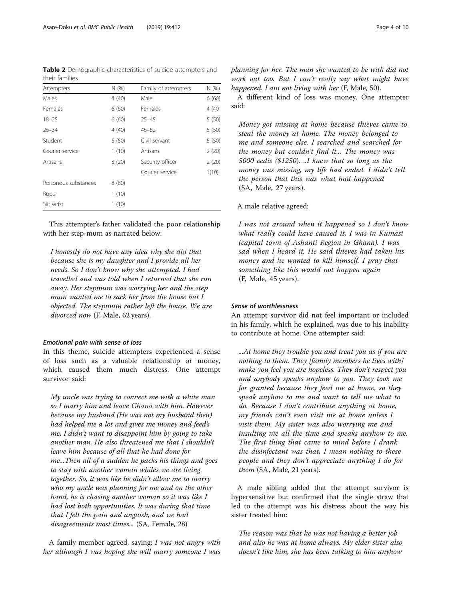<span id="page-3-0"></span>Table 2 Demographic characteristics of suicide attempters and their families

| Attempters           | N(%)  | Family of attempters | N(%    |
|----------------------|-------|----------------------|--------|
| Males                | 4(40) | Male                 | 6(60)  |
| Females              | 6(60) | Females              | 4 (40) |
| $18 - 25$            | 6(60) | $25 - 45$            | 5(50)  |
| $26 - 34$            | 4(40) | $46 - 62$            | 5(50)  |
| Student              | 5(50) | Civil servant        | 5(50)  |
| Courier service      | 1(10) | Artisans             | 2(20)  |
| Artisans             | 3(20) | Security officer     | 2(20)  |
|                      |       | Courier service      | 1(10)  |
| Poisonous substances | 8(80) |                      |        |
| Rope                 | 1(10) |                      |        |
| Slit wrist           | 1(10) |                      |        |

This attempter's father validated the poor relationship with her step-mum as narrated below:

I honestly do not have any idea why she did that because she is my daughter and I provide all her needs. So I don't know why she attempted. I had travelled and was told when I returned that she run away. Her stepmum was worrying her and the step mum wanted me to sack her from the house but I objected. The stepmum rather left the house. We are divorced now (F, Male, 62 years).

#### Emotional pain with sense of loss

In this theme, suicide attempters experienced a sense of loss such as a valuable relationship or money, which caused them much distress. One attempt survivor said:

My uncle was trying to connect me with a white man so I marry him and leave Ghana with him. However because my husband (He was not my husband then) had helped me a lot and gives me money and feed's me, I didn't want to disappoint him by going to take another man. He also threatened me that I shouldn't leave him because of all that he had done for me...Then all of a sudden he packs his things and goes to stay with another woman whiles we are living together. So, it was like he didn't allow me to marry who my uncle was planning for me and on the other hand, he is chasing another woman so it was like I had lost both opportunities. It was during that time that I felt the pain and anguish, and we had disagreements most times... (SA, Female, 28)

A family member agreed, saying: I was not angry with her although I was hoping she will marry someone I was planning for her. The man she wanted to be with did not work out too. But I can't really say what might have happened. I am not living with her (F, Male, 50).

A different kind of loss was money. One attempter said:

Money got missing at home because thieves came to steal the money at home. The money belonged to me and someone else. I searched and searched for the money but couldn't find it... The money was 5000 cedis (\$1250). ..I knew that so long as the money was missing, my life had ended. I didn't tell the person that this was what had happened (SA, Male, 27 years).

#### A male relative agreed:

I was not around when it happened so I don't know what really could have caused it, I was in Kumasi (capital town of Ashanti Region in Ghana). I was sad when I heard it. He said thieves had taken his money and he wanted to kill himself. I pray that something like this would not happen again (F, Male, 45 years).

#### Sense of worthlessness

An attempt survivor did not feel important or included in his family, which he explained, was due to his inability to contribute at home. One attempter said:

...At home they trouble you and treat you as if you are nothing to them. They [family members he lives with] make you feel you are hopeless. They don't respect you and anybody speaks anyhow to you. They took me for granted because they feed me at home, so they speak anyhow to me and want to tell me what to do. Because I don't contribute anything at home, my friends can't even visit me at home unless I visit them. My sister was also worrying me and insulting me all the time and speaks anyhow to me. The first thing that came to mind before I drank the disinfectant was that, I mean nothing to these people and they don't appreciate anything I do for them (SA, Male, 21 years).

A male sibling added that the attempt survivor is hypersensitive but confirmed that the single straw that led to the attempt was his distress about the way his sister treated him:

The reason was that he was not having a better job and also he was at home always. My elder sister also doesn't like him, she has been talking to him anyhow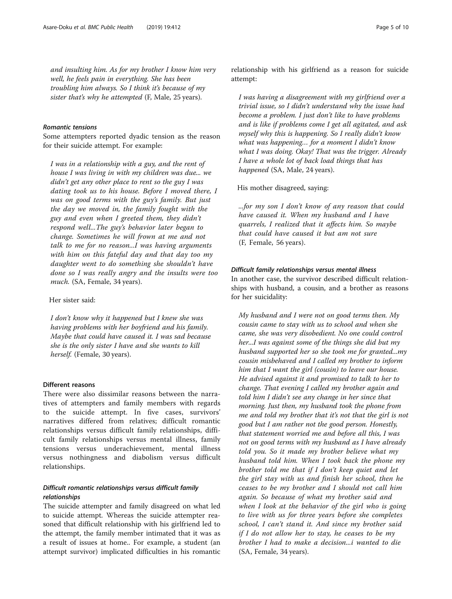and insulting him. As for my brother I know him very well, he feels pain in everything. She has been troubling him always. So I think it's because of my sister that's why he attempted (F, Male, 25 years).

#### Romantic tensions

Some attempters reported dyadic tension as the reason for their suicide attempt. For example:

I was in a relationship with a guy, and the rent of house I was living in with my children was due... we didn't get any other place to rent so the guy I was dating took us to his house. Before I moved there, I was on good terms with the guy's family. But just the day we moved in, the family fought with the guy and even when I greeted them, they didn't respond well...The guy's behavior later began to change. Sometimes he will frown at me and not talk to me for no reason...I was having arguments with him on this fateful day and that day too my daughter went to do something she shouldn't have done so I was really angry and the insults were too much. (SA, Female, 34 years).

Her sister said:

I don't know why it happened but I knew she was having problems with her boyfriend and his family. Maybe that could have caused it. I was sad because she is the only sister I have and she wants to kill herself. (Female, 30 years).

#### Different reasons

There were also dissimilar reasons between the narratives of attempters and family members with regards to the suicide attempt. In five cases, survivors' narratives differed from relatives; difficult romantic relationships versus difficult family relationships, difficult family relationships versus mental illness, family tensions versus underachievement, mental illness versus nothingness and diabolism versus difficult relationships.

# Difficult romantic relationships versus difficult family relationships

The suicide attempter and family disagreed on what led to suicide attempt. Whereas the suicide attempter reasoned that difficult relationship with his girlfriend led to the attempt, the family member intimated that it was as a result of issues at home.. For example, a student (an attempt survivor) implicated difficulties in his romantic

relationship with his girlfriend as a reason for suicide attempt:

I was having a disagreement with my girlfriend over a trivial issue, so I didn't understand why the issue had become a problem. I just don't like to have problems and is like if problems come I get all agitated, and ask myself why this is happening. So I really didn't know what was happening... for a moment I didn't know what I was doing. Okay! That was the trigger. Already I have a whole lot of back load things that has happened (SA, Male, 24 years).

#### His mother disagreed, saying:

...for my son I don't know of any reason that could have caused it. When my husband and I have quarrels, I realized that it affects him. So maybe that could have caused it but am not sure (F, Female, 56 years).

# Difficult family relationships versus mental illness

In another case, the survivor described difficult relationships with husband, a cousin, and a brother as reasons for her suicidality:

My husband and I were not on good terms then. My cousin came to stay with us to school and when she came, she was very disobedient. No one could control her...I was against some of the things she did but my husband supported her so she took me for granted...my cousin misbehaved and I called my brother to inform him that I want the girl (cousin) to leave our house. He advised against it and promised to talk to her to change. That evening I called my brother again and told him I didn't see any change in her since that morning. Just then, my husband took the phone from me and told my brother that it's not that the girl is not good but I am rather not the good person. Honestly, that statement worried me and before all this, I was not on good terms with my husband as I have already told you. So it made my brother believe what my husband told him. When I took back the phone my brother told me that if I don't keep quiet and let the girl stay with us and finish her school, then he ceases to be my brother and I should not call him again. So because of what my brother said and when I look at the behavior of the girl who is going to live with us for three years before she completes school, I can't stand it. And since my brother said if I do not allow her to stay, he ceases to be  $my$ brother I had to make a decision...i wanted to die (SA, Female, 34 years).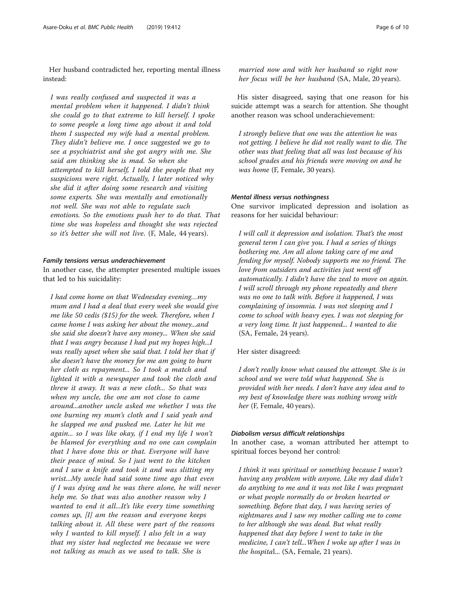Her husband contradicted her, reporting mental illness instead:

I was really confused and suspected it was a mental problem when it happened. I didn't think she could go to that extreme to kill herself. I spoke to some people a long time ago about it and told them I suspected my wife had a mental problem. They didn't believe me. I once suggested we go to see a psychiatrist and she got angry with me. She said am thinking she is mad. So when she attempted to kill herself, I told the people that my suspicions were right. Actually, I later noticed why she did it after doing some research and visiting some experts. She was mentally and emotionally not well. She was not able to regulate such emotions. So the emotions push her to do that. That time she was hopeless and thought she was rejected so it's better she will not live. (F, Male, 44 years).

#### Family tensions versus underachievement

In another case, the attempter presented multiple issues that led to his suicidality:

I had come home on that Wednesday evening…my mum and I had a deal that every week she would give me like 50 cedis (\$15) for the week. Therefore, when I came home I was asking her about the money...and she said she doesn't have any money... When she said that I was angry because I had put my hopes high...I was really upset when she said that. I told her that if she doesn't have the money for me am going to burn her cloth as repayment... So I took a match and lighted it with a newspaper and took the cloth and threw it away. It was a new cloth... So that was when my uncle, the one am not close to came around...another uncle asked me whether I was the one burning my mum's cloth and I said yeah and he slapped me and pushed me. Later he hit me again... so I was like okay, if I end my life I won't be blamed for everything and no one can complain that I have done this or that. Everyone will have their peace of mind. So I just went to the kitchen and I saw a knife and took it and was slitting my wrist...My uncle had said some time ago that even if I was dying and he was there alone, he will never help me. So that was also another reason why I wanted to end it all...It's like every time something comes up, [I] am the reason and everyone keeps talking about it. All these were part of the reasons why I wanted to kill myself. I also felt in a way that my sister had neglected me because we were not talking as much as we used to talk. She is

married now and with her husband so right now her focus will be her husband (SA, Male, 20 years).

His sister disagreed, saying that one reason for his suicide attempt was a search for attention. She thought another reason was school underachievement:

I strongly believe that one was the attention he was not getting. I believe he did not really want to die. The other was that feeling that all was lost because of his school grades and his friends were moving on and he was home (F, Female, 30 years).

#### Mental illness versus nothingness

One survivor implicated depression and isolation as reasons for her suicidal behaviour:

I will call it depression and isolation. That's the most general term I can give you. I had a series of things bothering me. Am all alone taking care of me and fending for myself. Nobody supports me no friend. The love from outsiders and activities just went off automatically. I didn't have the zeal to move on again. I will scroll through my phone repeatedly and there was no one to talk with. Before it happened, I was complaining of insomnia. I was not sleeping and I come to school with heavy eyes. I was not sleeping for a very long time. It just happened... I wanted to die (SA, Female, 24 years).

#### Her sister disagreed:

I don't really know what caused the attempt. She is in school and we were told what happened. She is provided with her needs. I don't have any idea and to my best of knowledge there was nothing wrong with her (F, Female, 40 years).

#### Diabolism versus difficult relationships

In another case, a woman attributed her attempt to spiritual forces beyond her control:

I think it was spiritual or something because I wasn't having any problem with anyone. Like my dad didn't do anything to me and it was not like I was pregnant or what people normally do or broken hearted or something. Before that day, I was having series of nightmares and I saw my mother calling me to come to her although she was dead. But what really happened that day before I went to take in the medicine, I can't tell...When I woke up after I was in the hospital... (SA, Female, 21 years).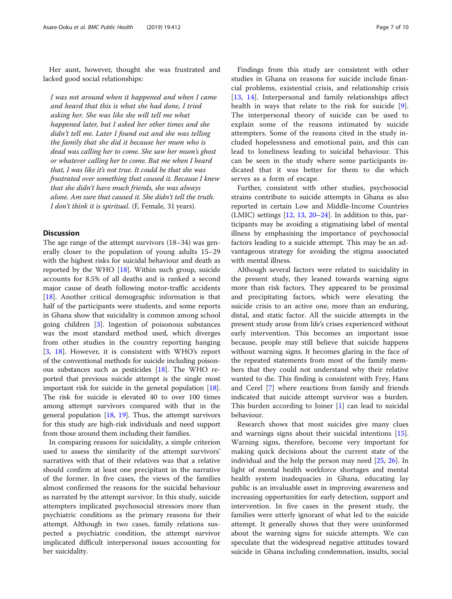Her aunt, however, thought she was frustrated and lacked good social relationships:

I was not around when it happened and when I came and heard that this is what she had done, I tried asking her. She was like she will tell me what happened later, but I asked her other times and she didn't tell me. Later I found out and she was telling the family that she did it because her mum who is dead was calling her to come. She saw her mum's ghost or whatever calling her to come. But me when I heard that, I was like it's not true. It could be that she was frustrated over something that caused it. Because I knew that she didn't have much friends, she was always alone. Am sure that caused it. She didn't tell the truth. I don't think it is spiritual. (F, Female, 31 years).

#### **Discussion**

The age range of the attempt survivors (18–34) was generally closer to the population of young adults 15–29 with the highest risks for suicidal behaviour and death as reported by the WHO [[18\]](#page-8-0). Within such group, suicide accounts for 8.5% of all deaths and is ranked a second major cause of death following motor-traffic accidents [[18\]](#page-8-0). Another critical demographic information is that half of the participants were students, and some reports in Ghana show that suicidality is common among school going children [\[3](#page-8-0)]. Ingestion of poisonous substances was the most standard method used, which diverges from other studies in the country reporting hanging [[3,](#page-8-0) [18](#page-8-0)]. However, it is consistent with WHO's report of the conventional methods for suicide including poisonous substances such as pesticides [[18](#page-8-0)]. The WHO reported that previous suicide attempt is the single most important risk for suicide in the general population [[18](#page-8-0)]. The risk for suicide is elevated 40 to over 100 times among attempt survivors compared with that in the general population  $[18, 19]$  $[18, 19]$  $[18, 19]$ . Thus, the attempt survivors for this study are high-risk individuals and need support from those around them including their families.

In comparing reasons for suicidality, a simple criterion used to assess the similarity of the attempt survivors' narratives with that of their relatives was that a relative should confirm at least one precipitant in the narrative of the former. In five cases, the views of the families almost confirmed the reasons for the suicidal behaviour as narrated by the attempt survivor. In this study, suicide attempters implicated psychosocial stressors more than psychiatric conditions as the primary reasons for their attempt. Although in two cases, family relations suspected a psychiatric condition, the attempt survivor implicated difficult interpersonal issues accounting for her suicidality.

Findings from this study are consistent with other studies in Ghana on reasons for suicide include financial problems, existential crisis, and relationship crisis [[13,](#page-8-0) [14](#page-8-0)]. Interpersonal and family relationships affect health in ways that relate to the risk for suicide [\[9](#page-8-0)]. The interpersonal theory of suicide can be used to explain some of the reasons intimated by suicide attempters. Some of the reasons cited in the study included hopelessness and emotional pain, and this can lead to loneliness leading to suicidal behaviour. This can be seen in the study where some participants indicated that it was better for them to die which serves as a form of escape.

Further, consistent with other studies, psychosocial strains contribute to suicide attempts in Ghana as also reported in certain Low and Middle-Income Countries (LMIC) settings  $[12, 13, 20-24]$  $[12, 13, 20-24]$  $[12, 13, 20-24]$  $[12, 13, 20-24]$  $[12, 13, 20-24]$  $[12, 13, 20-24]$  $[12, 13, 20-24]$ . In addition to this, participants may be avoiding a stigmatising label of mental illness by emphasising the importance of psychosocial factors leading to a suicide attempt. This may be an advantageous strategy for avoiding the stigma associated with mental illness.

Although several factors were related to suicidality in the present study, they leaned towards warning signs more than risk factors. They appeared to be proximal and precipitating factors, which were elevating the suicide crisis to an active one, more than an enduring, distal, and static factor. All the suicide attempts in the present study arose from life's crises experienced without early intervention. This becomes an important issue because, people may still believe that suicide happens without warning signs. It becomes glaring in the face of the repeated statements from most of the family members that they could not understand why their relative wanted to die. This finding is consistent with Frey, Hans and Cerel [[7\]](#page-8-0) where reactions from family and friends indicated that suicide attempt survivor was a burden. This burden according to Joiner [[1\]](#page-8-0) can lead to suicidal behaviour.

Research shows that most suicides give many clues and warnings signs about their suicidal intentions [\[15](#page-8-0)]. Warning signs, therefore, become very important for making quick decisions about the current state of the individual and the help the person may need [\[25](#page-8-0), [26](#page-9-0)]. In light of mental health workforce shortages and mental health system inadequacies in Ghana, educating lay public is an invaluable asset in improving awareness and increasing opportunities for early detection, support and intervention. In five cases in the present study, the families were utterly ignorant of what led to the suicide attempt. It generally shows that they were uninformed about the warning signs for suicide attempts. We can speculate that the widespread negative attitudes toward suicide in Ghana including condemnation, insults, social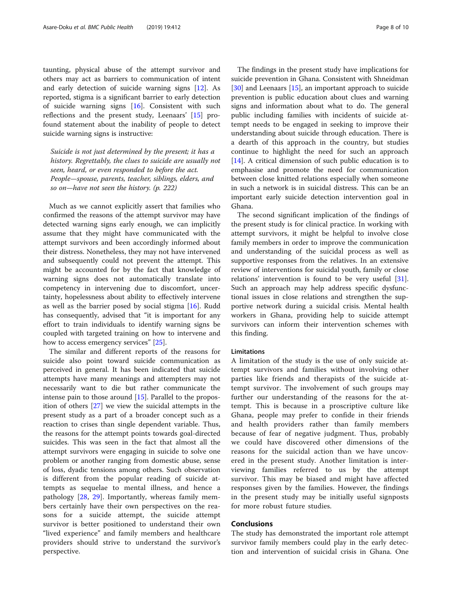taunting, physical abuse of the attempt survivor and others may act as barriers to communication of intent and early detection of suicide warning signs [\[12](#page-8-0)]. As reported, stigma is a significant barrier to early detection of suicide warning signs [[16](#page-8-0)]. Consistent with such reflections and the present study, Leenaars' [[15](#page-8-0)] profound statement about the inability of people to detect suicide warning signs is instructive:

Suicide is not just determined by the present; it has a history. Regrettably, the clues to suicide are usually not seen, heard, or even responded to before the act. People—spouse, parents, teacher, siblings, elders, and so on—have not seen the history. (p. 222)

Much as we cannot explicitly assert that families who confirmed the reasons of the attempt survivor may have detected warning signs early enough, we can implicitly assume that they might have communicated with the attempt survivors and been accordingly informed about their distress. Nonetheless, they may not have intervened and subsequently could not prevent the attempt. This might be accounted for by the fact that knowledge of warning signs does not automatically translate into competency in intervening due to discomfort, uncertainty, hopelessness about ability to effectively intervene as well as the barrier posed by social stigma [[16\]](#page-8-0). Rudd has consequently, advised that "it is important for any effort to train individuals to identify warning signs be coupled with targeted training on how to intervene and how to access emergency services" [[25](#page-8-0)].

The similar and different reports of the reasons for suicide also point toward suicide communication as perceived in general. It has been indicated that suicide attempts have many meanings and attempters may not necessarily want to die but rather communicate the intense pain to those around [[15](#page-8-0)]. Parallel to the proposition of others [[27\]](#page-9-0) we view the suicidal attempts in the present study as a part of a broader concept such as a reaction to crises than single dependent variable. Thus, the reasons for the attempt points towards goal-directed suicides. This was seen in the fact that almost all the attempt survivors were engaging in suicide to solve one problem or another ranging from domestic abuse, sense of loss, dyadic tensions among others. Such observation is different from the popular reading of suicide attempts as sequelae to mental illness, and hence a pathology [\[28](#page-9-0), [29\]](#page-9-0). Importantly, whereas family members certainly have their own perspectives on the reasons for a suicide attempt, the suicide attempt survivor is better positioned to understand their own "lived experience" and family members and healthcare providers should strive to understand the survivor's perspective.

The findings in the present study have implications for suicide prevention in Ghana. Consistent with Shneidman [[30\]](#page-9-0) and Leenaars [[15\]](#page-8-0), an important approach to suicide prevention is public education about clues and warning signs and information about what to do. The general public including families with incidents of suicide attempt needs to be engaged in seeking to improve their understanding about suicide through education. There is a dearth of this approach in the country, but studies continue to highlight the need for such an approach [[14\]](#page-8-0). A critical dimension of such public education is to emphasise and promote the need for communication between close knitted relations especially when someone in such a network is in suicidal distress. This can be an important early suicide detection intervention goal in Ghana.

The second significant implication of the findings of the present study is for clinical practice. In working with attempt survivors, it might be helpful to involve close family members in order to improve the communication and understanding of the suicidal process as well as supportive responses from the relatives. In an extensive review of interventions for suicidal youth, family or close relations' intervention is found to be very useful [\[31](#page-9-0)]. Such an approach may help address specific dysfunctional issues in close relations and strengthen the supportive network during a suicidal crisis. Mental health workers in Ghana, providing help to suicide attempt survivors can inform their intervention schemes with this finding.

#### Limitations

A limitation of the study is the use of only suicide attempt survivors and families without involving other parties like friends and therapists of the suicide attempt survivor. The involvement of such groups may further our understanding of the reasons for the attempt. This is because in a proscriptive culture like Ghana, people may prefer to confide in their friends and health providers rather than family members because of fear of negative judgment. Thus, probably we could have discovered other dimensions of the reasons for the suicidal action than we have uncovered in the present study. Another limitation is interviewing families referred to us by the attempt survivor. This may be biased and might have affected responses given by the families. However, the findings in the present study may be initially useful signposts for more robust future studies.

## Conclusions

The study has demonstrated the important role attempt survivor family members could play in the early detection and intervention of suicidal crisis in Ghana. One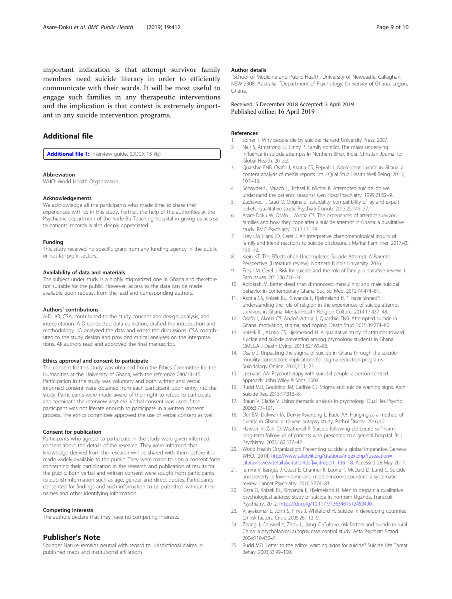<span id="page-8-0"></span>members need suicide literacy in order to efficiently communicate with their wards. It will be most useful to engage such families in any therapeutic interventions and the implication is that context is extremely important in any suicide intervention programs.

# Additional file

[Additional file 1:](https://doi.org/10.1186/s12889-019-6743-z) Interview guide. (DOCX 15 kb)

#### Abbreviation

WHO: World Health Organization

#### Acknowledgements

We acknowledge all the participants who made time to share their experiences with us in this study. Further, the help of the authorities at the Psychiatric department of the Korle-Bu Teaching hospital in giving us access to patients' records is also deeply appreciated.

#### Funding

This study received no specific grant from any funding agency in the public or not-for-profit sectors.

#### Availability of data and materials

The subject under study is a highly stigmatized one in Ghana and therefore not suitable for the public. However, access to the data can be made available upon request from the lead and corresponding authors.

#### Authors' contributions

A-D, JO, CSA, contributed to the study concept and design, analysis, and interpretation. A-D conducted data collection, drafted the introduction and methodology. JO analyzed the data and wrote the discussions. CSA contributed to the study design and provided critical analyses on the interpretations. All authors read and approved the final manuscript.

#### Ethics approval and consent to participate

The consent for this study was obtained from the Ethics Committee for the Humanities at the University of Ghana, with the reference 040/14–15. Participation in the study was voluntary and both written and verbal informed consent were obtained from each participant upon entry into the study. Participants were made aware of their right to refuse to participate and terminate the interview anytime. Verbal consent was used if the participant was not literate enough to participate in a written consent process. The ethics committee approved the use of verbal consent as well.

#### Consent for publication

Participants who agreed to participate in the study were given informed consent about the details of the research. They were informed that knowledge derived from the research will be shared with them before it is made widely available to the public. They were made to sign a consent form concerning their participation in the research and publication of results for the public. Both verbal and written consent were sought from participants to publish information such as age, gender and direct quotes. Participants consented for findings and such information to be published without their names and other identifying information.

#### Competing interests

The authors declare that they have no competing interests.

#### Publisher's Note

Springer Nature remains neutral with regard to jurisdictional claims in published maps and institutional affiliations.

<sup>1</sup>School of Medicine and Public Health, University of Newcastle, Callaghan, NSW 2308, Australia. <sup>2</sup>Department of Psychology, University of Ghana, Legon, Ghana.

Received: 5 December 2018 Accepted: 3 April 2019 Published online: 16 April 2019

#### References

- 1. Joiner T. Why people die by suicide: Harvard University Press; 2007.
- 2. Nair S, Armstrong LJ, Finny P. Family conflict. The major underlying influence in suicide attempts in Northern Bihar, India. Christian Journal for Global Health. 2015;2.
- 3. Quarshie ENB, Osafo J, Akotia CS, Peprah J. Adolescent suicide in Ghana: a content analysis of media reports. Int J Qual Stud Health Well Being. 2015; 10:1–13.
- 4. Schnyder U, Valach L, Bichsel K, Michel K. Attempted suicide: do we understand the patients' reasons? Gen Hosp Psychiatry. 1999;21:62–9.
- 5. Zadravec T, Grad O. Origins of suicidality: compatibility of lay and expert beliefs -qualitative study. Psychiatr Danub. 2013;25:149–57.
- 6. Asare-Doku W, Osafo J, Akotia CS. The experiences of attempt survivor families and how they cope after a suicide attempt in Ghana: a qualitative study. BMC Psychiatry. 2017;17:178.
- 7. Frey LM, Hans JD, Cerel J. An interpretive phenomenological inquiry of family and friend reactions to suicide disclosure. J Marital Fam Ther. 2017;43: 159–72.
- 8. Klein KT. The Effects of an Uncompleted Suicide Attempt: A Parent's Perspective. (Literature review). Northern Illinois University. 2016.
- 9. Frey LM, Cerel J. Risk for suicide and the role of family: a narrative review. J Fam Issues. 2015;36:716–36.
- 10. Adinkrah M. Better dead than dishonored: masculinity and male suicidal behavior in contemporary Ghana. Soc Sci Med. 2012;74:474–81.
- 11. Akotia CS, Knizek BL, Kinyanda E, Hjelmeland H. "I have sinned": understanding the role of religion in the experiences of suicide attempt survivors in Ghana. Mental Health Religion Culture. 2014;17:437–48.
- 12. Osafo J, Akotia CS, Andoh-Arthur J, Quarshie ENB. Attempted suicide in Ghana: motivation, stigma, and coping. Death Stud. 2015;39:274–80.
- 13. Knizek BL, Akotia CS, Hjelmeland H. A qualitative study of attitudes toward suicide and suicide prevention among psychology students in Ghana. OMEGA J Death Dying. 2011;62:169–86.
- 14. Osafo J. Unpacking the stigma of suicide in Ghana through the suicidemorality connection: implications for stigma reduction programs. Suicidology Online. 2016;7:11–23.
- 15. Leenaars AA. Psychotherapy with suicidal people: a person-centred approach: John Wiley & Sons; 2004.
- 16. Rudd MD, Goulding JM, Carlisle CJ. Stigma and suicide warning signs. Arch Suicide Res. 2013;17:313–8.
- 17. Braun V, Clarke V. Using thematic analysis in psychology. Qual Res Psychol. 2006;3:77–101.
- 18. Der EM, Dakwah IA, Derkyi-Kwarteng L, Badu AA. Hanging as a method of suicide in Ghana: a 10-year autopsy study. Pathol Discov. 2016;4:2.
- 19. Hawton K, Zahl D, Weatherall R. Suicide following deliberate self-harm: long-term follow-up of patients who presented to a general hospital. Br J Psychiatry. 2003;182:537–42.
- 20. World Health Organization: Preventing suicide: a global imperative. Geneva: WHO. (2014) [http://www.safetylit.org/citations/index.php?fuseaction=](http://www.safetylit.org/citations/index.php?fuseaction=citations.viewdetails&citationIds%5b%5d=citreport_136_18) [citations.viewdetails&citationIds\[\]=citreport\\_136\\_18](http://www.safetylit.org/citations/index.php?fuseaction=citations.viewdetails&citationIds%5b%5d=citreport_136_18). Accessed 28 May 2017.
- 21. Iemmi V, Bantjes J, Coast E, Channer K, Leone T, McDaid D, Lund C. Suicide and poverty in low-income and middle-income countries: a systematic review. Lancet Psychiatry. 2016;3:774–83.
- 22. Kizza D, Knizek BL, Kinyanda E, Hjelmeland H. Men in despair: a qualitative psychological autopsy study of suicide in northern Uganda. Transcult Psychiatry. 2012. <https://doi.org/10.1177/1363461512459490>.
- 23. Vijayakumar L, John S, Pirkis J, Whiteford H. Suicide in developing countries (2) risk factors. Crisis. 2005;26:112–9.
- 24. Zhang J, Conwell Y, Zhou L, Jiang C. Culture, risk factors and suicide in rural China: a psychological autopsy case control study. Acta Psychiatr Scand. 2004;110:430–7.
- 25. Rudd MD. Letter to the editor: warning signs for suicide? Suicide Life Threat Behav. 2003;33:99–100.